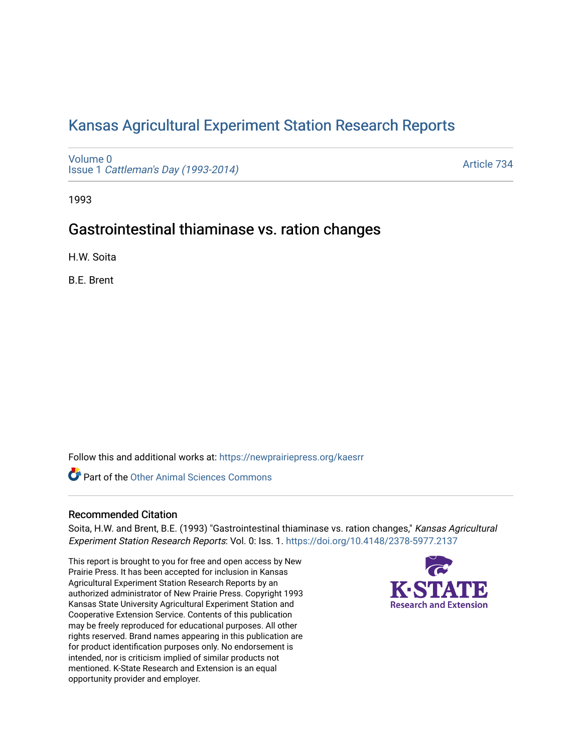# [Kansas Agricultural Experiment Station Research Reports](https://newprairiepress.org/kaesrr)

[Volume 0](https://newprairiepress.org/kaesrr/vol0) Issue 1 [Cattleman's Day \(1993-2014\)](https://newprairiepress.org/kaesrr/vol0/iss1) 

[Article 734](https://newprairiepress.org/kaesrr/vol0/iss1/734) 

1993

## Gastrointestinal thiaminase vs. ration changes

H.W. Soita

B.E. Brent

Follow this and additional works at: [https://newprairiepress.org/kaesrr](https://newprairiepress.org/kaesrr?utm_source=newprairiepress.org%2Fkaesrr%2Fvol0%2Fiss1%2F734&utm_medium=PDF&utm_campaign=PDFCoverPages) 

Part of the [Other Animal Sciences Commons](http://network.bepress.com/hgg/discipline/82?utm_source=newprairiepress.org%2Fkaesrr%2Fvol0%2Fiss1%2F734&utm_medium=PDF&utm_campaign=PDFCoverPages)

### Recommended Citation

Soita, H.W. and Brent, B.E. (1993) "Gastrointestinal thiaminase vs. ration changes," Kansas Agricultural Experiment Station Research Reports: Vol. 0: Iss. 1. <https://doi.org/10.4148/2378-5977.2137>

This report is brought to you for free and open access by New Prairie Press. It has been accepted for inclusion in Kansas Agricultural Experiment Station Research Reports by an authorized administrator of New Prairie Press. Copyright 1993 Kansas State University Agricultural Experiment Station and Cooperative Extension Service. Contents of this publication may be freely reproduced for educational purposes. All other rights reserved. Brand names appearing in this publication are for product identification purposes only. No endorsement is intended, nor is criticism implied of similar products not mentioned. K-State Research and Extension is an equal opportunity provider and employer.

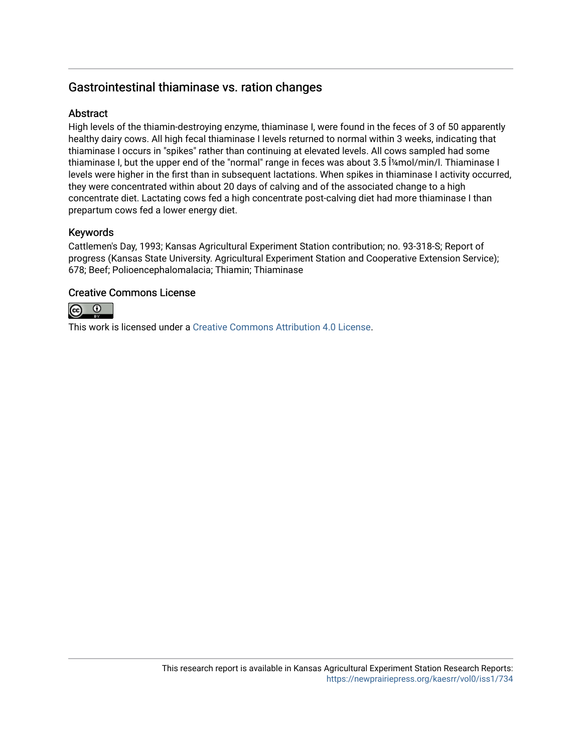## Gastrointestinal thiaminase vs. ration changes

### Abstract

High levels of the thiamin-destroying enzyme, thiaminase I, were found in the feces of 3 of 50 apparently healthy dairy cows. All high fecal thiaminase I levels returned to normal within 3 weeks, indicating that thiaminase I occurs in "spikes" rather than continuing at elevated levels. All cows sampled had some thiaminase I, but the upper end of the "normal" range in feces was about 3.5 [4mol/min/l. Thiaminase I levels were higher in the first than in subsequent lactations. When spikes in thiaminase I activity occurred, they were concentrated within about 20 days of calving and of the associated change to a high concentrate diet. Lactating cows fed a high concentrate post-calving diet had more thiaminase I than prepartum cows fed a lower energy diet.

## Keywords

Cattlemen's Day, 1993; Kansas Agricultural Experiment Station contribution; no. 93-318-S; Report of progress (Kansas State University. Agricultural Experiment Station and Cooperative Extension Service); 678; Beef; Polioencephalomalacia; Thiamin; Thiaminase

## Creative Commons License



This work is licensed under a [Creative Commons Attribution 4.0 License](https://creativecommons.org/licenses/by/4.0/).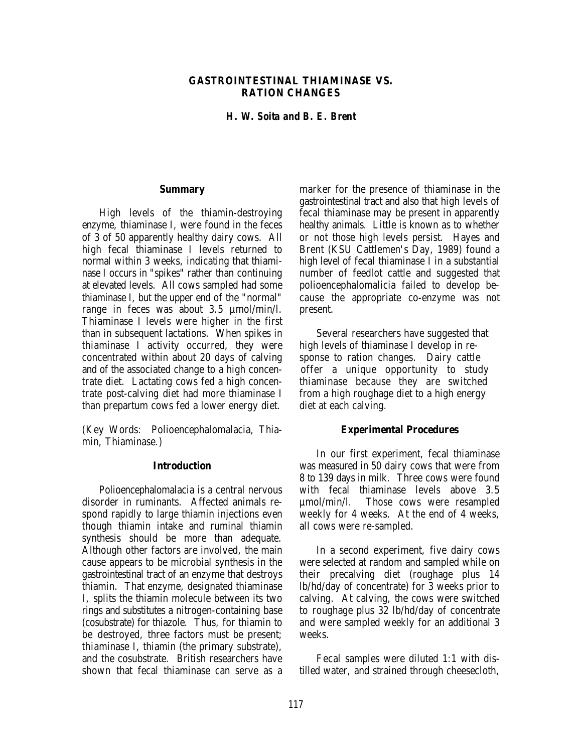#### **GASTROINTESTINAL THIAMINASE VS. RATION CHANGES**

#### *H. W. Soita and B. E. Brent*

#### **Summary**

High levels of the thiamin-destroying enzyme, thiaminase I, were found in the feces of 3 of 50 apparently healthy dairy cows. All high fecal thiaminase I levels returned to normal within 3 weeks, indicating that thiaminase I occurs in "spikes" rather than continuing at elevated levels. All cows sampled had some thiaminase I, but the upper end of the "normal" range in feces was about 3.5 µmol/min/l. Thiaminase I levels were higher in the first than in subsequent lactations. When spikes in thiaminase I activity occurred, they were concentrated within about 20 days of calving and of the associated change to a high concentrate diet. Lactating cows fed a high concentrate post-calving diet had more thiaminase I than prepartum cows fed a lower energy diet.

(Key Words: Polioencephalomalacia, Thiamin, Thiaminase.)

#### **Introduction**

Polioencephalomalacia is a central nervous disorder in ruminants. Affected animals respond rapidly to large thiamin injections even though thiamin intake and ruminal thiamin synthesis should be more than adequate. Although other factors are involved, the main cause appears to be microbial synthesis in the gastrointestinal tract of an enzyme that destroys thiamin. That enzyme, designated thiaminase I, splits the thiamin molecule between its two rings and substitutes a nitrogen-containing base (cosubstrate) for thiazole. Thus, for thiamin to be destroyed, three factors must be present; thiaminase I, thiamin (the primary substrate), and the cosubstrate. British researchers have shown that fecal thiaminase can serve as a

marker for the presence of thiaminase in the gastrointestinal tract and also that high levels of fecal thiaminase may be present in apparently healthy animals. Little is known as to whether or not those high levels persist. Hayes and Brent (KSU Cattlemen's Day, 1989) found a high level of fecal thiaminase I in a substantial number of feedlot cattle and suggested that polioencephalomalicia failed to develop because the appropriate co-enzyme was not present.

Several researchers have suggested that high levels of thiaminase I develop in response to ration changes. Dairy cattle offer a unique opportunity to study thiaminase because they are switched from a high roughage diet to a high energy diet at each calving.

#### **Experimental Procedures**

In our first experiment, fecal thiaminase was measured in 50 dairy cows that were from 8 to 139 days in milk. Three cows were found with fecal thiaminase levels above 3.5 µmol/min/l. Those cows were resampled weekly for 4 weeks. At the end of 4 weeks, all cows were re-sampled.

In a second experiment, five dairy cows were selected at random and sampled while on their precalving diet (roughage plus 14 lb/hd/day of concentrate) for 3 weeks prior to calving. At calving, the cows were switched to roughage plus 32 lb/hd/day of concentrate and were sampled weekly for an additional 3 weeks.

Fecal samples were diluted 1:1 with distilled water, and strained through cheesecloth,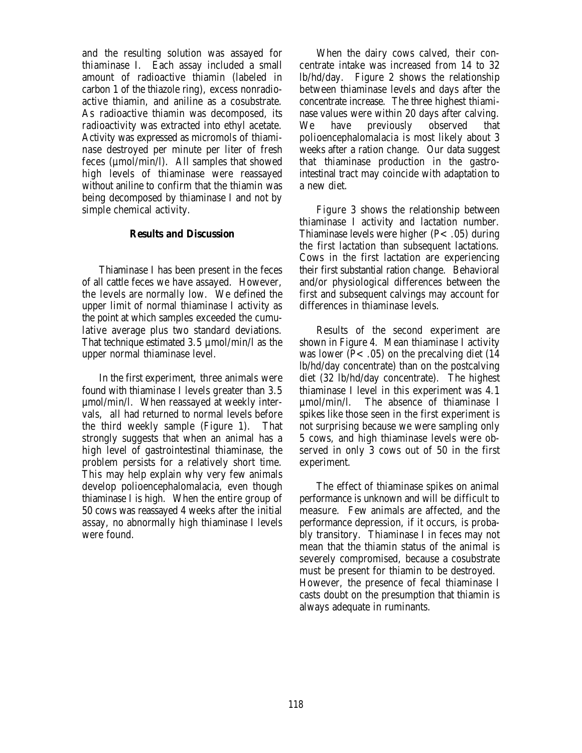and the resulting solution was assayed for thiaminase I. Each assay included a small amount of radioactive thiamin (labeled in carbon 1 of the thiazole ring), excess nonradioactive thiamin, and aniline as a cosubstrate. As radioactive thiamin was decomposed, its radioactivity was extracted into ethyl acetate. Activity was expressed as micromols of thiaminase destroyed per minute per liter of fresh feces (µmol/min/l). All samples that showed high levels of thiaminase were reassayed without aniline to confirm that the thiamin was being decomposed by thiaminase I and not by simple chemical activity.

#### **Results and Discussion**

Thiaminase I has been present in the feces of all cattle feces we have assayed. However, the levels are normally low. We defined the upper limit of normal thiaminase I activity as the point at which samples exceeded the cumulative average plus two standard deviations. That technique estimated 3.5 µmol/min/l as the upper normal thiaminase level.

In the first experiment, three animals were found with thiaminase I levels greater than 3.5 µmol/min/l. When reassayed at weekly intervals, all had returned to normal levels before the third weekly sample (Figure 1). That strongly suggests that when an animal has a high level of gastrointestinal thiaminase, the problem persists for a relatively short time. This may help explain why very few animals develop polioencephalomalacia, even though thiaminase I is high. When the entire group of 50 cows was reassayed 4 weeks after the initial assay, no abnormally high thiaminase I levels were found.

When the dairy cows calved, their concentrate intake was increased from 14 to 32 lb/hd/day. Figure 2 shows the relationship between thiaminase levels and days after the concentrate increase. The three highest thiaminase values were within 20 days after calving. We have previously observed that polioencephalomalacia is most likely about 3 weeks after a ration change. Our data suggest that thiaminase production in the gastrointestinal tract may coincide with adaptation to a new diet.

Figure 3 shows the relationship between thiaminase I activity and lactation number. Thiaminase levels were higher  $(P<.05)$  during the first lactation than subsequent lactations. Cows in the first lactation are experiencing their first substantial ration change. Behavioral and/or physiological differences between the first and subsequent calvings may account for differences in thiaminase levels.

Results of the second experiment are shown in Figure 4. Mean thiaminase I activity was lower ( $P<.05$ ) on the precalving diet (14 lb/hd/day concentrate) than on the postcalving diet (32 lb/hd/day concentrate). The highest thiaminase I level in this experiment was 4.1 µmol/min/l. The absence of thiaminase I spikes like those seen in the first experiment is not surprising because we were sampling only 5 cows, and high thiaminase levels were observed in only 3 cows out of 50 in the first experiment.

The effect of thiaminase spikes on animal performance is unknown and will be difficult to measure. Few animals are affected, and the performance depression, if it occurs, is probably transitory. Thiaminase I in feces may not mean that the thiamin status of the animal is severely compromised, because a cosubstrate must be present for thiamin to be destroyed. However, the presence of fecal thiaminase I casts doubt on the presumption that thiamin is always adequate in ruminants.